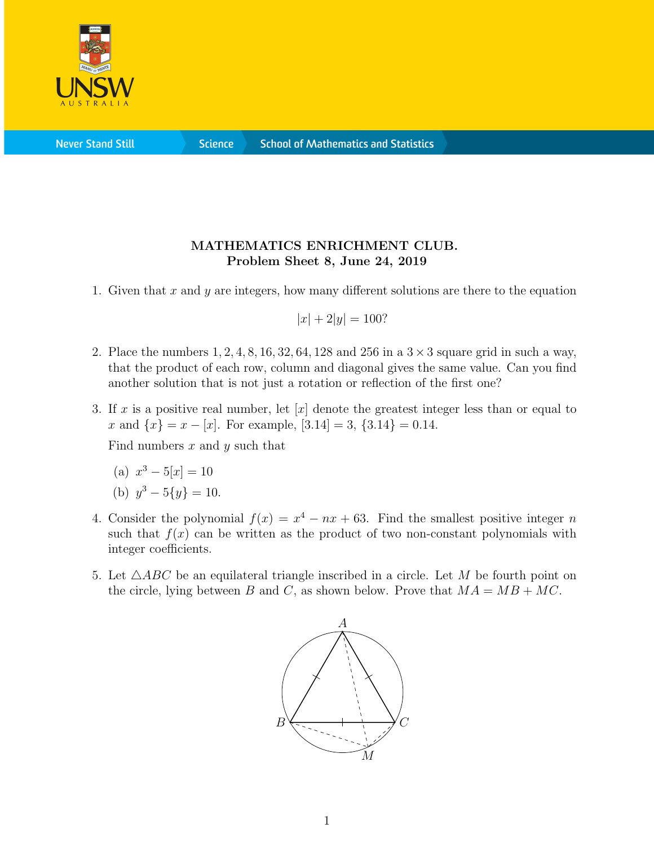

**Science** 

## MATHEMATICS ENRICHMENT CLUB. Problem Sheet 8, June 24, 2019

1. Given that  $x$  and  $y$  are integers, how many different solutions are there to the equation

$$
|x| + 2|y| = 100?
$$

- 2. Place the numbers  $1, 2, 4, 8, 16, 32, 64, 128$  and  $256$  in a  $3 \times 3$  square grid in such a way, that the product of each row, column and diagonal gives the same value. Can you find another solution that is not just a rotation or reflection of the first one?
- 3. If x is a positive real number, let  $[x]$  denote the greatest integer less than or equal to x and  $\{x\} = x - [x]$ . For example,  $[3.14] = 3$ ,  $\{3.14\} = 0.14$ .

Find numbers  $x$  and  $y$  such that

(a)  $x^3 - 5[x] = 10$ 

(b) 
$$
y^3 - 5\{y\} = 10.
$$

- 4. Consider the polynomial  $f(x) = x^4 nx + 63$ . Find the smallest positive integer n such that  $f(x)$  can be written as the product of two non-constant polynomials with integer coefficients.
- 5. Let  $\triangle ABC$  be an equilateral triangle inscribed in a circle. Let M be fourth point on the circle, lying between B and C, as shown below. Prove that  $MA = MB + MC$ .